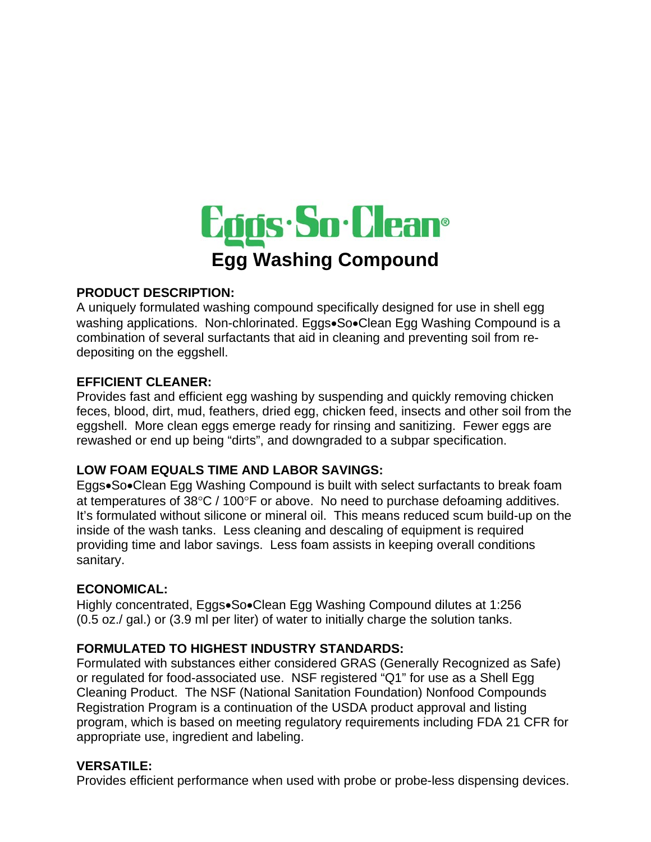

### **PRODUCT DESCRIPTION:**

A uniquely formulated washing compound specifically designed for use in shell egg washing applications. Non-chlorinated. Eggs•So•Clean Egg Washing Compound is a combination of several surfactants that aid in cleaning and preventing soil from redepositing on the eggshell.

### **EFFICIENT CLEANER:**

Provides fast and efficient egg washing by suspending and quickly removing chicken feces, blood, dirt, mud, feathers, dried egg, chicken feed, insects and other soil from the eggshell. More clean eggs emerge ready for rinsing and sanitizing. Fewer eggs are rewashed or end up being "dirts", and downgraded to a subpar specification.

### **LOW FOAM EQUALS TIME AND LABOR SAVINGS:**

Eggs•So•Clean Egg Washing Compound is built with select surfactants to break foam at temperatures of 38°C / 100°F or above. No need to purchase defoaming additives. It's formulated without silicone or mineral oil. This means reduced scum build-up on the inside of the wash tanks. Less cleaning and descaling of equipment is required providing time and labor savings. Less foam assists in keeping overall conditions sanitary.

### **ECONOMICAL:**

Highly concentrated, Eggs•So•Clean Egg Washing Compound dilutes at 1:256 (0.5 oz./ gal.) or (3.9 ml per liter) of water to initially charge the solution tanks.

# **FORMULATED TO HIGHEST INDUSTRY STANDARDS:**

Formulated with substances either considered GRAS (Generally Recognized as Safe) or regulated for food-associated use. NSF registered "Q1" for use as a Shell Egg Cleaning Product. The NSF (National Sanitation Foundation) Nonfood Compounds Registration Program is a continuation of the USDA product approval and listing program, which is based on meeting regulatory requirements including FDA 21 CFR for appropriate use, ingredient and labeling.

### **VERSATILE:**

Provides efficient performance when used with probe or probe-less dispensing devices.